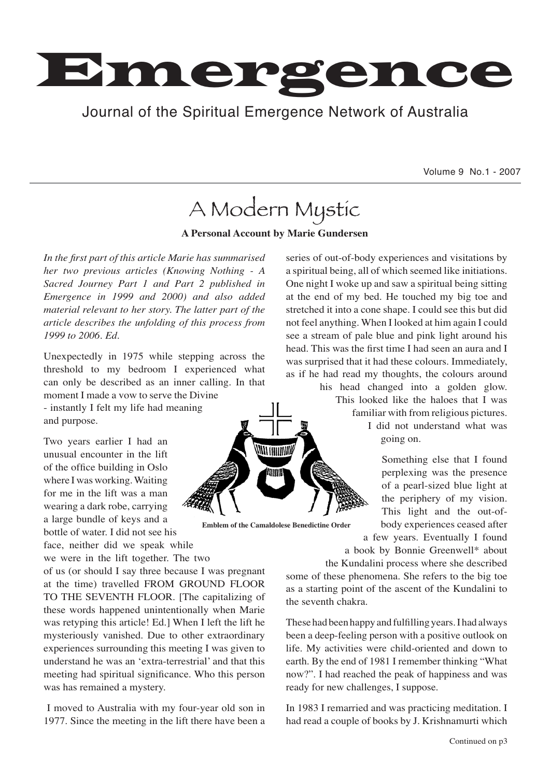

## Journal of the Spiritual Emergence Network of Australia Journal of the Spiritual Emergence Network of Australia

Volume 9 No.1 - 2007

# A Modern Mystic

**A Personal Account by Marie Gundersen**

*In the first part of this article Marie has summarised her two previous articles (Knowing Nothing - A Sacred Journey Part 1 and Part 2 published in Emergence in 1999 and 2000) and also added material relevant to her story. The latter part of the article describes the unfolding of this process from 1999 to 2006. Ed.*

Unexpectedly in 1975 while stepping across the threshold to my bedroom I experienced what can only be described as an inner calling. In that moment I made a vow to serve the Divine

- instantly I felt my life had meaning and purpose.

Two years earlier I had an unusual encounter in the lift of the office building in Oslo where I was working. Waiting for me in the lift was a man wearing a dark robe, carrying a large bundle of keys and a bottle of water. I did not see his

face, neither did we speak while we were in the lift together. The two

of us (or should I say three because I was pregnant at the time) travelled FROM GROUND FLOOR TO THE SEVENTH FLOOR. [The capitalizing of these words happened unintentionally when Marie was retyping this article! Ed.] When I left the lift he mysteriously vanished. Due to other extraordinary experiences surrounding this meeting I was given to understand he was an ʻextra-terrestrial' and that this meeting had spiritual significance. Who this person was has remained a mystery.

 I moved to Australia with my four-year old son in 1977. Since the meeting in the lift there have been a

series of out-of-body experiences and visitations by a spiritual being, all of which seemed like initiations. One night I woke up and saw a spiritual being sitting at the end of my bed. He touched my big toe and stretched it into a cone shape. I could see this but did not feel anything. When I looked at him again I could see a stream of pale blue and pink light around his head. This was the first time I had seen an aura and I was surprised that it had these colours. Immediately, as if he had read my thoughts, the colours around



**Emblem of the Camaldolese Benedictine Order**

his head changed into a golden glow. This looked like the haloes that I was familiar with from religious pictures. I did not understand what was

going on.

Something else that I found perplexing was the presence of a pearl-sized blue light at the periphery of my vision. This light and the out-ofbody experiences ceased after a few years. Eventually I found

a book by Bonnie Greenwell\* about the Kundalini process where she described

some of these phenomena. She refers to the big toe as a starting point of the ascent of the Kundalini to the seventh chakra.

These had been happy and fulfilling years. I had always been a deep-feeling person with a positive outlook on life. My activities were child-oriented and down to earth. By the end of 1981 I remember thinking "What now?". I had reached the peak of happiness and was ready for new challenges, I suppose.

In 1983 I remarried and was practicing meditation. I had read a couple of books by J. Krishnamurti which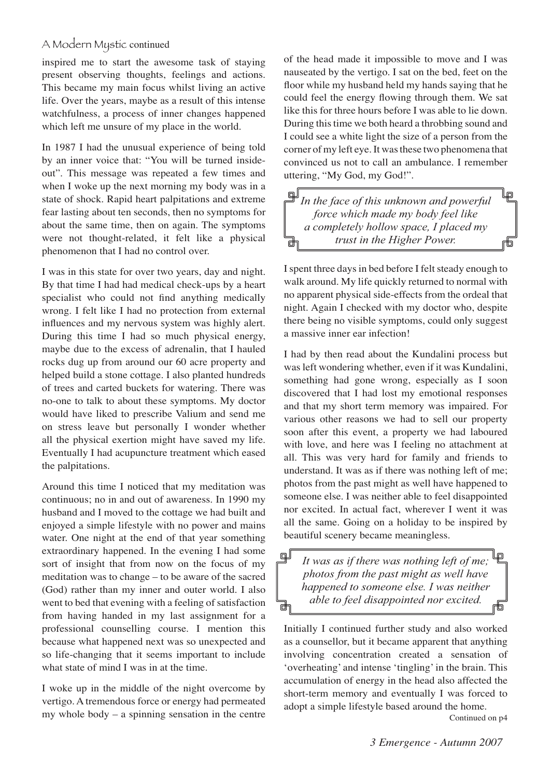### A Modern Mystic continued

inspired me to start the awesome task of staying present observing thoughts, feelings and actions. This became my main focus whilst living an active life. Over the years, maybe as a result of this intense watchfulness, a process of inner changes happened which left me unsure of my place in the world.

In 1987 I had the unusual experience of being told by an inner voice that: "You will be turned insideout". This message was repeated a few times and when I woke up the next morning my body was in a state of shock. Rapid heart palpitations and extreme fear lasting about ten seconds, then no symptoms for about the same time, then on again. The symptoms were not thought-related, it felt like a physical phenomenon that I had no control over.

I was in this state for over two years, day and night. By that time I had had medical check-ups by a heart specialist who could not find anything medically wrong. I felt like I had no protection from external influences and my nervous system was highly alert. During this time I had so much physical energy, maybe due to the excess of adrenalin, that I hauled rocks dug up from around our 60 acre property and helped build a stone cottage. I also planted hundreds of trees and carted buckets for watering. There was no-one to talk to about these symptoms. My doctor would have liked to prescribe Valium and send me on stress leave but personally I wonder whether all the physical exertion might have saved my life. Eventually I had acupuncture treatment which eased the palpitations.

Around this time I noticed that my meditation was continuous; no in and out of awareness. In 1990 my husband and I moved to the cottage we had built and enjoyed a simple lifestyle with no power and mains water. One night at the end of that year something extraordinary happened. In the evening I had some sort of insight that from now on the focus of my meditation was to change – to be aware of the sacred (God) rather than my inner and outer world. I also went to bed that evening with a feeling of satisfaction from having handed in my last assignment for a professional counselling course. I mention this because what happened next was so unexpected and so life-changing that it seems important to include what state of mind I was in at the time.

I woke up in the middle of the night overcome by vertigo. A tremendous force or energy had permeated my whole body – a spinning sensation in the centre of the head made it impossible to move and I was nauseated by the vertigo. I sat on the bed, feet on the floor while my husband held my hands saying that he could feel the energy flowing through them. We sat like this for three hours before I was able to lie down. During this time we both heard a throbbing sound and I could see a white light the size of a person from the corner of my left eye. It was these two phenomena that convinced us not to call an ambulance. I remember uttering, "My God, my God!".

回 Що *In the face of this unknown and powerful force which made my body feel like a completely hollow space, I placed my trust in the Higher Power.* 

I spent three days in bed before I felt steady enough to walk around. My life quickly returned to normal with no apparent physical side-effects from the ordeal that night. Again I checked with my doctor who, despite there being no visible symptoms, could only suggest a massive inner ear infection!

I had by then read about the Kundalini process but was left wondering whether, even if it was Kundalini, something had gone wrong, especially as I soon discovered that I had lost my emotional responses and that my short term memory was impaired. For various other reasons we had to sell our property soon after this event, a property we had laboured with love, and here was I feeling no attachment at all. This was very hard for family and friends to understand. It was as if there was nothing left of me; photos from the past might as well have happened to someone else. I was neither able to feel disappointed nor excited. In actual fact, wherever I went it was all the same. Going on a holiday to be inspired by beautiful scenery became meaningless.

岠 *It was as if there was nothing left of me; photos from the past might as well have happened to someone else. I was neither able to feel disappointed nor excited.*

டி∫

film

Initially I continued further study and also worked as a counsellor, but it became apparent that anything involving concentration created a sensation of ʻoverheating' and intense ʻtingling' in the brain. This accumulation of energy in the head also affected the short-term memory and eventually I was forced to adopt a simple lifestyle based around the home.

Continued on p4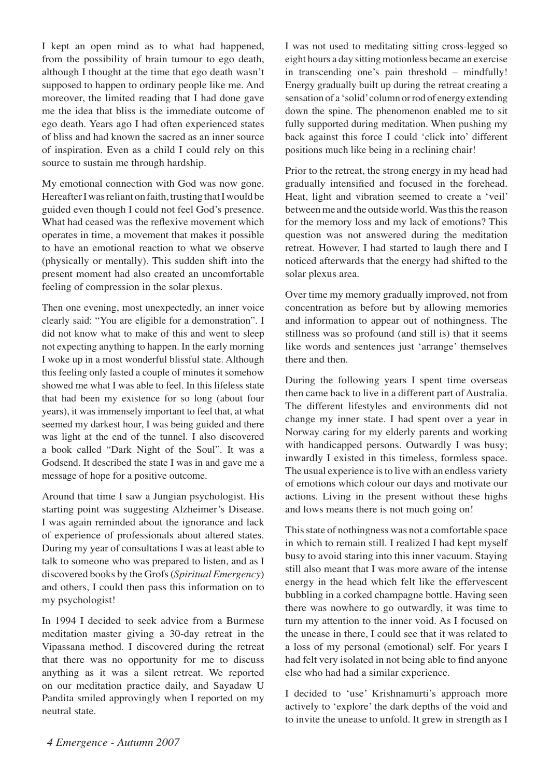I kept an open mind as to what had happened, from the possibility of brain tumour to ego death, although I thought at the time that ego death wasn't supposed to happen to ordinary people like me. And moreover, the limited reading that I had done gave me the idea that bliss is the immediate outcome of ego death. Years ago I had often experienced states of bliss and had known the sacred as an inner source of inspiration. Even as a child I could rely on this source to sustain me through hardship.

My emotional connection with God was now gone. Hereafter I was reliant on faith, trusting that I would be guided even though I could not feel God's presence. What had ceased was the reflexive movement which operates in time, a movement that makes it possible to have an emotional reaction to what we observe (physically or mentally). This sudden shift into the present moment had also created an uncomfortable feeling of compression in the solar plexus.

Then one evening, most unexpectedly, an inner voice clearly said: "You are eligible for a demonstration". I did not know what to make of this and went to sleep not expecting anything to happen. In the early morning I woke up in a most wonderful blissful state. Although this feeling only lasted a couple of minutes it somehow showed me what I was able to feel. In this lifeless state that had been my existence for so long (about four years), it was immensely important to feel that, at what seemed my darkest hour, I was being guided and there was light at the end of the tunnel. I also discovered a book called "Dark Night of the Soul". It was a Godsend. It described the state I was in and gave me a message of hope for a positive outcome.

Around that time I saw a Jungian psychologist. His starting point was suggesting Alzheimer's Disease. I was again reminded about the ignorance and lack of experience of professionals about altered states. During my year of consultations I was at least able to talk to someone who was prepared to listen, and as I discovered books by the Grofs (*Spiritual Emergency*) and others, I could then pass this information on to my psychologist!

In 1994 I decided to seek advice from a Burmese meditation master giving a 30-day retreat in the Vipassana method. I discovered during the retreat that there was no opportunity for me to discuss anything as it was a silent retreat. We reported on our meditation practice daily, and Sayadaw U Pandita smiled approvingly when I reported on my neutral state.

I was not used to meditating sitting cross-legged so eight hours a day sitting motionless became an exercise in transcending one's pain threshold – mindfully! Energy gradually built up during the retreat creating a sensation of a ʻsolid' column or rod of energy extending down the spine. The phenomenon enabled me to sit fully supported during meditation. When pushing my back against this force I could ʻclick into' different positions much like being in a reclining chair!

Prior to the retreat, the strong energy in my head had gradually intensified and focused in the forehead. Heat, light and vibration seemed to create a ʻveil' between me and the outside world. Was this the reason for the memory loss and my lack of emotions? This question was not answered during the meditation retreat. However, I had started to laugh there and I noticed afterwards that the energy had shifted to the solar plexus area.

Over time my memory gradually improved, not from concentration as before but by allowing memories and information to appear out of nothingness. The stillness was so profound (and still is) that it seems like words and sentences just ʻarrange' themselves there and then.

During the following years I spent time overseas then came back to live in a different part of Australia. The different lifestyles and environments did not change my inner state. I had spent over a year in Norway caring for my elderly parents and working with handicapped persons. Outwardly I was busy; inwardly I existed in this timeless, formless space. The usual experience is to live with an endless variety of emotions which colour our days and motivate our actions. Living in the present without these highs and lows means there is not much going on!

This state of nothingness was not a comfortable space in which to remain still. I realized I had kept myself busy to avoid staring into this inner vacuum. Staying still also meant that I was more aware of the intense energy in the head which felt like the effervescent bubbling in a corked champagne bottle. Having seen there was nowhere to go outwardly, it was time to turn my attention to the inner void. As I focused on the unease in there, I could see that it was related to a loss of my personal (emotional) self. For years I had felt very isolated in not being able to find anyone else who had had a similar experience.

I decided to ʻuse' Krishnamurti's approach more actively to ʻexplore' the dark depths of the void and to invite the unease to unfold. It grew in strength as I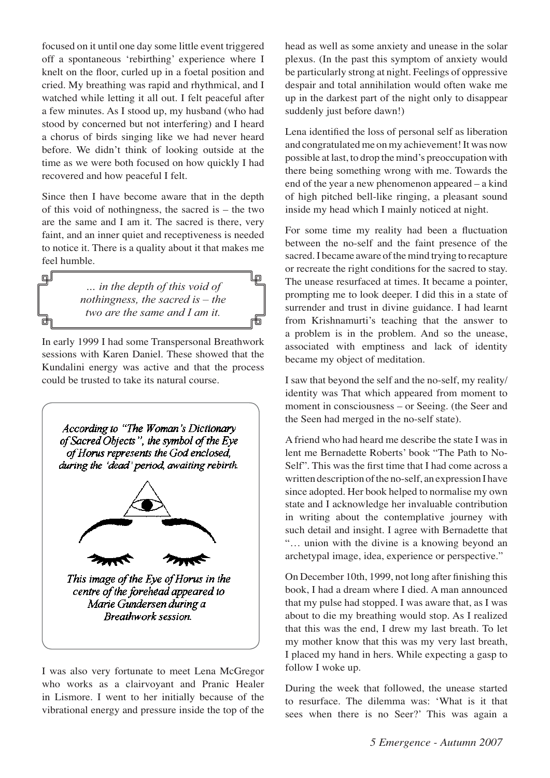focused on it until one day some little event triggered off a spontaneous ʻrebirthing' experience where I knelt on the floor, curled up in a foetal position and cried. My breathing was rapid and rhythmical, and I watched while letting it all out. I felt peaceful after a few minutes. As I stood up, my husband (who had stood by concerned but not interfering) and I heard a chorus of birds singing like we had never heard before. We didn't think of looking outside at the time as we were both focused on how quickly I had recovered and how peaceful I felt.

Since then I have become aware that in the depth of this void of nothingness, the sacred is – the two are the same and I am it. The sacred is there, very faint, and an inner quiet and receptiveness is needed to notice it. There is a quality about it that makes me feel humble.

டி∫

*… in the depth of this void of nothingness, the sacred is – the two are the same and I am it.*

lp

In early 1999 I had some Transpersonal Breathwork sessions with Karen Daniel. These showed that the Kundalini energy was active and that the process could be trusted to take its natural course.



I was also very fortunate to meet Lena McGregor who works as a clairvoyant and Pranic Healer in Lismore. I went to her initially because of the vibrational energy and pressure inside the top of the

head as well as some anxiety and unease in the solar plexus. (In the past this symptom of anxiety would be particularly strong at night. Feelings of oppressive despair and total annihilation would often wake me up in the darkest part of the night only to disappear suddenly just before dawn!)

Lena identified the loss of personal self as liberation and congratulated me on my achievement! It was now possible at last, to drop the mind's preoccupation with there being something wrong with me. Towards the end of the year a new phenomenon appeared – a kind of high pitched bell-like ringing, a pleasant sound inside my head which I mainly noticed at night.

For some time my reality had been a fluctuation between the no-self and the faint presence of the sacred. I became aware of the mind trying to recapture or recreate the right conditions for the sacred to stay. The unease resurfaced at times. It became a pointer, prompting me to look deeper. I did this in a state of surrender and trust in divine guidance. I had learnt from Krishnamurti's teaching that the answer to a problem is in the problem. And so the unease, associated with emptiness and lack of identity became my object of meditation.

I saw that beyond the self and the no-self, my reality/ identity was That which appeared from moment to moment in consciousness – or Seeing. (the Seer and the Seen had merged in the no-self state).

A friend who had heard me describe the state I was in lent me Bernadette Roberts' book "The Path to No-Self"*.* This was the first time that I had come across a written description of the no-self, an expression I have since adopted. Her book helped to normalise my own state and I acknowledge her invaluable contribution in writing about the contemplative journey with such detail and insight. I agree with Bernadette that "… union with the divine is a knowing beyond an archetypal image, idea, experience or perspective."

On December 10th, 1999, not long after finishing this book, I had a dream where I died. A man announced that my pulse had stopped. I was aware that, as I was about to die my breathing would stop. As I realized that this was the end, I drew my last breath. To let my mother know that this was my very last breath, I placed my hand in hers. While expecting a gasp to follow I woke up.

During the week that followed, the unease started to resurface. The dilemma was: ʻWhat is it that sees when there is no Seer?' This was again a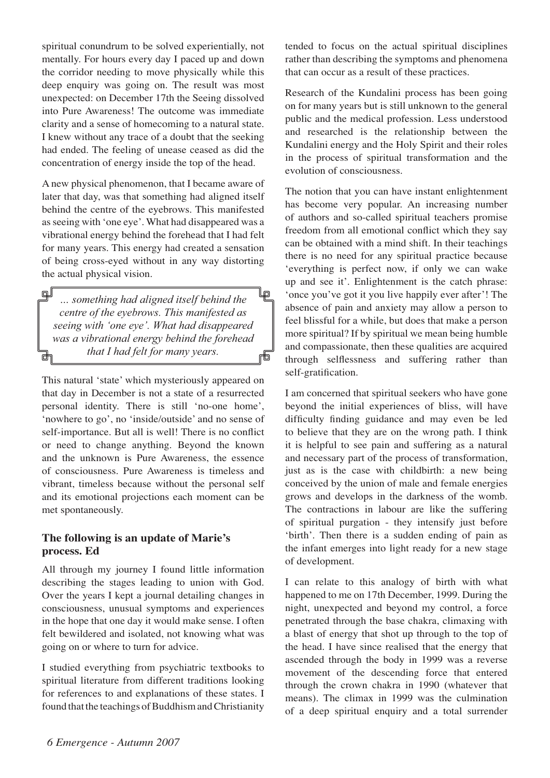spiritual conundrum to be solved experientially, not mentally. For hours every day I paced up and down the corridor needing to move physically while this deep enquiry was going on. The result was most unexpected: on December 17th the Seeing dissolved into Pure Awareness! The outcome was immediate clarity and a sense of homecoming to a natural state. I knew without any trace of a doubt that the seeking had ended. The feeling of unease ceased as did the concentration of energy inside the top of the head.

A new physical phenomenon, that I became aware of later that day, was that something had aligned itself behind the centre of the eyebrows. This manifested as seeing with ʻone eye'. What had disappeared was a vibrational energy behind the forehead that I had felt for many years. This energy had created a sensation of being cross-eyed without in any way distorting the actual physical vision.

வி lp *… something had aligned itself behind the centre of the eyebrows. This manifested as seeing with 'one eye'. What had disappeared was a vibrational energy behind the forehead that I had felt for many years.*

This natural ʻstate' which mysteriously appeared on that day in December is not a state of a resurrected personal identity. There is still ʻno-one home', ʻnowhere to go', no ʻinside/outside' and no sense of self-importance. But all is well! There is no conflict or need to change anything. Beyond the known and the unknown is Pure Awareness, the essence of consciousness. Pure Awareness is timeless and vibrant, timeless because without the personal self and its emotional projections each moment can be met spontaneously.

#### **The following is an update of Marie's process. Ed**

All through my journey I found little information describing the stages leading to union with God. Over the years I kept a journal detailing changes in consciousness, unusual symptoms and experiences in the hope that one day it would make sense. I often felt bewildered and isolated, not knowing what was going on or where to turn for advice.

I studied everything from psychiatric textbooks to spiritual literature from different traditions looking for references to and explanations of these states. I found that the teachings of Buddhism and Christianity tended to focus on the actual spiritual disciplines rather than describing the symptoms and phenomena that can occur as a result of these practices.

Research of the Kundalini process has been going on for many years but is still unknown to the general public and the medical profession. Less understood and researched is the relationship between the Kundalini energy and the Holy Spirit and their roles in the process of spiritual transformation and the evolution of consciousness.

The notion that you can have instant enlightenment has become very popular. An increasing number of authors and so-called spiritual teachers promise freedom from all emotional conflict which they say can be obtained with a mind shift. In their teachings there is no need for any spiritual practice because ʻeverything is perfect now, if only we can wake up and see it'. Enlightenment is the catch phrase: ʻonce you've got it you live happily ever after'! The absence of pain and anxiety may allow a person to feel blissful for a while, but does that make a person more spiritual? If by spiritual we mean being humble and compassionate, then these qualities are acquired through selflessness and suffering rather than self-gratification.

I am concerned that spiritual seekers who have gone beyond the initial experiences of bliss, will have difficulty finding guidance and may even be led to believe that they are on the wrong path. I think it is helpful to see pain and suffering as a natural and necessary part of the process of transformation, just as is the case with childbirth: a new being conceived by the union of male and female energies grows and develops in the darkness of the womb. The contractions in labour are like the suffering of spiritual purgation - they intensify just before ʻbirth'. Then there is a sudden ending of pain as the infant emerges into light ready for a new stage of development.

I can relate to this analogy of birth with what happened to me on 17th December, 1999. During the night, unexpected and beyond my control, a force penetrated through the base chakra, climaxing with a blast of energy that shot up through to the top of the head. I have since realised that the energy that ascended through the body in 1999 was a reverse movement of the descending force that entered through the crown chakra in 1990 (whatever that means). The climax in 1999 was the culmination of a deep spiritual enquiry and a total surrender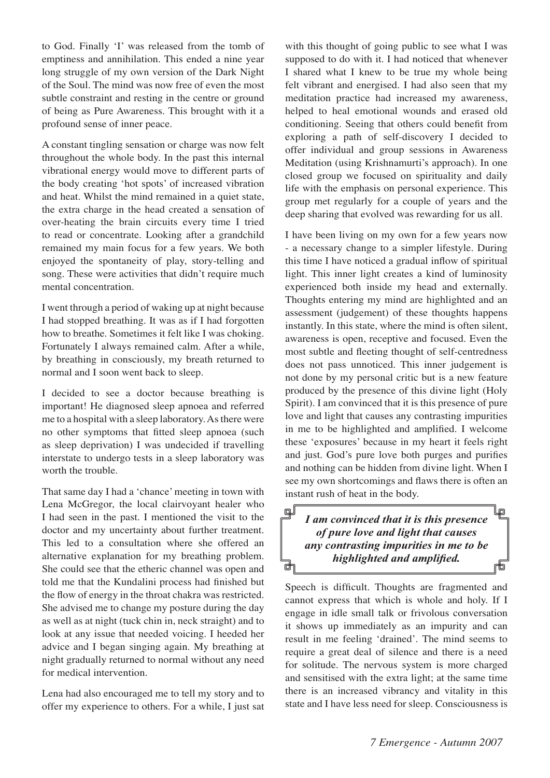to God. Finally ʻI' was released from the tomb of emptiness and annihilation. This ended a nine year long struggle of my own version of the Dark Night of the Soul. The mind was now free of even the most subtle constraint and resting in the centre or ground of being as Pure Awareness. This brought with it a profound sense of inner peace.

A constant tingling sensation or charge was now felt throughout the whole body. In the past this internal vibrational energy would move to different parts of the body creating ʻhot spots' of increased vibration and heat. Whilst the mind remained in a quiet state, the extra charge in the head created a sensation of over-heating the brain circuits every time I tried to read or concentrate. Looking after a grandchild remained my main focus for a few years. We both enjoyed the spontaneity of play, story-telling and song. These were activities that didn't require much mental concentration.

I went through a period of waking up at night because I had stopped breathing. It was as if I had forgotten how to breathe. Sometimes it felt like I was choking. Fortunately I always remained calm. After a while, by breathing in consciously, my breath returned to normal and I soon went back to sleep.

I decided to see a doctor because breathing is important! He diagnosed sleep apnoea and referred me to a hospital with a sleep laboratory. As there were no other symptoms that fitted sleep apnoea (such as sleep deprivation) I was undecided if travelling interstate to undergo tests in a sleep laboratory was worth the trouble.

That same day I had a ʻchance' meeting in town with Lena McGregor, the local clairvoyant healer who I had seen in the past. I mentioned the visit to the doctor and my uncertainty about further treatment. This led to a consultation where she offered an alternative explanation for my breathing problem. She could see that the etheric channel was open and told me that the Kundalini process had finished but the flow of energy in the throat chakra was restricted. She advised me to change my posture during the day as well as at night (tuck chin in, neck straight) and to look at any issue that needed voicing. I heeded her advice and I began singing again. My breathing at night gradually returned to normal without any need for medical intervention.

Lena had also encouraged me to tell my story and to offer my experience to others. For a while, I just sat with this thought of going public to see what I was supposed to do with it. I had noticed that whenever I shared what I knew to be true my whole being felt vibrant and energised. I had also seen that my meditation practice had increased my awareness, helped to heal emotional wounds and erased old conditioning. Seeing that others could benefit from exploring a path of self-discovery I decided to offer individual and group sessions in Awareness Meditation (using Krishnamurti's approach). In one closed group we focused on spirituality and daily life with the emphasis on personal experience. This group met regularly for a couple of years and the deep sharing that evolved was rewarding for us all.

I have been living on my own for a few years now - a necessary change to a simpler lifestyle. During this time I have noticed a gradual inflow of spiritual light. This inner light creates a kind of luminosity experienced both inside my head and externally. Thoughts entering my mind are highlighted and an assessment (judgement) of these thoughts happens instantly. In this state, where the mind is often silent, awareness is open, receptive and focused. Even the most subtle and fleeting thought of self-centredness does not pass unnoticed. This inner judgement is not done by my personal critic but is a new feature produced by the presence of this divine light (Holy Spirit). I am convinced that it is this presence of pure love and light that causes any contrasting impurities in me to be highlighted and amplified. I welcome these ʻexposures' because in my heart it feels right and just. God's pure love both purges and purifies and nothing can be hidden from divine light. When I see my own shortcomings and flaws there is often an instant rush of heat in the body.

#### டி∬ lo *I am convinced that it is this presence of pure love and light that causes any contrasting impurities in me to be highlighted and amplified.* 襾 両

Speech is difficult. Thoughts are fragmented and cannot express that which is whole and holy. If I engage in idle small talk or frivolous conversation it shows up immediately as an impurity and can result in me feeling ʻdrained'. The mind seems to require a great deal of silence and there is a need for solitude. The nervous system is more charged and sensitised with the extra light; at the same time there is an increased vibrancy and vitality in this state and I have less need for sleep. Consciousness is